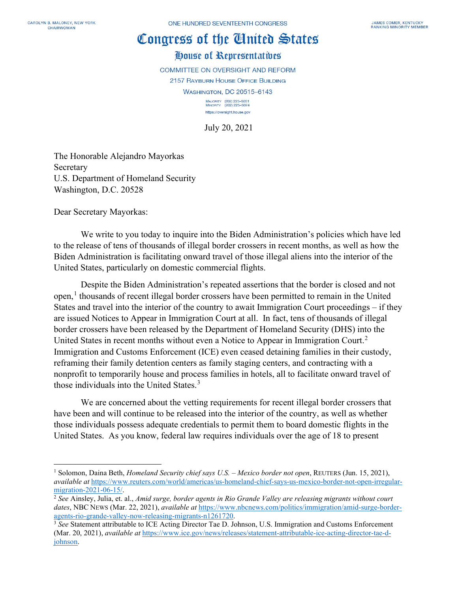## Congress of the Cinited States

## House of Representatives

**COMMITTEE ON OVERSIGHT AND REFORM** 2157 RAYBURN HOUSE OFFICE BUILDING **WASHINGTON, DC 20515-6143** MAJORITY (202) 225-5051<br>MINORITY (202) 225-5074 https://oversight.house.gov

July 20, 2021

The Honorable Alejandro Mayorkas Secretary U.S. Department of Homeland Security Washington, D.C. 20528

Dear Secretary Mayorkas:

We write to you today to inquire into the Biden Administration's policies which have led to the release of tens of thousands of illegal border crossers in recent months, as well as how the Biden Administration is facilitating onward travel of those illegal aliens into the interior of the United States, particularly on domestic commercial flights.

Despite the Biden Administration's repeated assertions that the border is closed and not open, [1](#page-0-0) thousands of recent illegal border crossers have been permitted to remain in the United States and travel into the interior of the country to await Immigration Court proceedings – if they are issued Notices to Appear in Immigration Court at all. In fact, tens of thousands of illegal border crossers have been released by the Department of Homeland Security (DHS) into the United States in recent months without even a Notice to Appear in Immigration Court.<sup>[2](#page-0-1)</sup> Immigration and Customs Enforcement (ICE) even ceased detaining families in their custody, reframing their family detention centers as family staging centers, and contracting with a nonprofit to temporarily house and process families in hotels, all to facilitate onward travel of those individuals into the United States.<sup>[3](#page-0-2)</sup>

We are concerned about the vetting requirements for recent illegal border crossers that have been and will continue to be released into the interior of the country, as well as whether those individuals possess adequate credentials to permit them to board domestic flights in the United States. As you know, federal law requires individuals over the age of 18 to present

<span id="page-0-0"></span><sup>1</sup> Solomon, Daina Beth, *Homeland Security chief says U.S. – Mexico border not open*, REUTERS (Jun. 15, 2021), *available at* [https://www.reuters.com/world/americas/us-homeland-chief-says-us-mexico-border-not-open-irregular](https://www.reuters.com/world/americas/us-homeland-chief-says-us-mexico-border-not-open-irregular-migration-2021-06-15/)[migration-2021-06-15/.](https://www.reuters.com/world/americas/us-homeland-chief-says-us-mexico-border-not-open-irregular-migration-2021-06-15/) 2 *See* Ainsley, Julia, et. al., *Amid surge, border agents in Rio Grande Valley are releasing migrants without court* 

<span id="page-0-1"></span>*dates*, NBC NEWS (Mar. 22, 2021), *available at* [https://www.nbcnews.com/politics/immigration/amid-surge-border](https://www.nbcnews.com/politics/immigration/amid-surge-border-agents-rio-grande-valley-now-releasing-migrants-n1261720)[agents-rio-grande-valley-now-releasing-migrants-n1261720.](https://www.nbcnews.com/politics/immigration/amid-surge-border-agents-rio-grande-valley-now-releasing-migrants-n1261720)

<span id="page-0-2"></span><sup>3</sup> *See* Statement attributable to ICE Acting Director Tae D. Johnson, U.S. Immigration and Customs Enforcement (Mar. 20, 2021), *available at* [https://www.ice.gov/news/releases/statement-attributable-ice-acting-director-tae-d](https://www.ice.gov/news/releases/statement-attributable-ice-acting-director-tae-d-johnson)[johnson.](https://www.ice.gov/news/releases/statement-attributable-ice-acting-director-tae-d-johnson)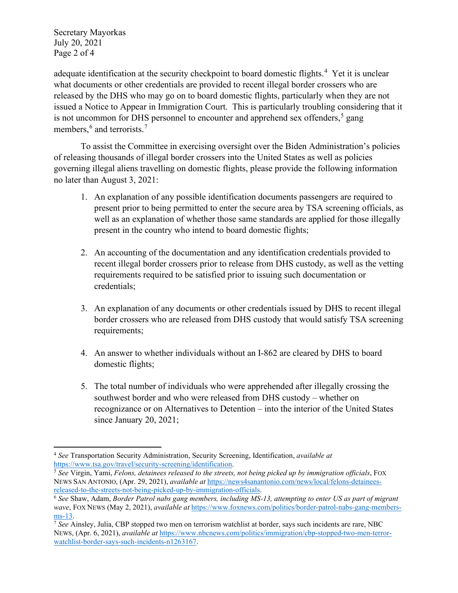Secretary Mayorkas July 20, 2021 Page 2 of 4

adequate identification at the security checkpoint to board domestic flights.<sup>[4](#page-1-0)</sup> Yet it is unclear what documents or other credentials are provided to recent illegal border crossers who are released by the DHS who may go on to board domestic flights, particularly when they are not issued a Notice to Appear in Immigration Court. This is particularly troubling considering that it is not uncommon for DHS personnel to encounter and apprehend sex offenders,  $5$  gang members,  $6$  and terrorists.<sup>[7](#page-1-3)</sup>

To assist the Committee in exercising oversight over the Biden Administration's policies of releasing thousands of illegal border crossers into the United States as well as policies governing illegal aliens travelling on domestic flights, please provide the following information no later than August 3, 2021:

- 1. An explanation of any possible identification documents passengers are required to present prior to being permitted to enter the secure area by TSA screening officials, as well as an explanation of whether those same standards are applied for those illegally present in the country who intend to board domestic flights;
- 2. An accounting of the documentation and any identification credentials provided to recent illegal border crossers prior to release from DHS custody, as well as the vetting requirements required to be satisfied prior to issuing such documentation or credentials;
- 3. An explanation of any documents or other credentials issued by DHS to recent illegal border crossers who are released from DHS custody that would satisfy TSA screening requirements;
- 4. An answer to whether individuals without an I-862 are cleared by DHS to board domestic flights;
- 5. The total number of individuals who were apprehended after illegally crossing the southwest border and who were released from DHS custody – whether on recognizance or on Alternatives to Detention – into the interior of the United States since January 20, 2021;

<span id="page-1-0"></span><sup>4</sup> *See* Transportation Security Administration, Security Screening, Identification, *available at* 

<span id="page-1-1"></span><sup>&</sup>lt;sup>5</sup> See Virgin, Yami, Felons, detainees released to the streets, not being picked up by immigration officials, FOX NEWS SAN ANTONIO, (Apr. 29, 2021), *available at* [https://news4sanantonio.com/news/local/felons-detainees](https://news4sanantonio.com/news/local/felons-detainees-released-to-the-streets-not-being-picked-up-by-immigration-officials)[released-to-the-streets-not-being-picked-up-by-immigration-officials.](https://news4sanantonio.com/news/local/felons-detainees-released-to-the-streets-not-being-picked-up-by-immigration-officials)

<span id="page-1-2"></span><sup>6</sup> *See* Shaw, Adam, *Border Patrol nabs gang members, including MS-13, attempting to enter US as part of migrant wave*, FOX NEWS (May 2, 2021), *available at* [https://www.foxnews.com/politics/border-patrol-nabs-gang-members](https://www.foxnews.com/politics/border-patrol-nabs-gang-members-ms-13)[ms-13.](https://www.foxnews.com/politics/border-patrol-nabs-gang-members-ms-13)

<span id="page-1-3"></span><sup>7</sup> *See* Ainsley, Julia, CBP stopped two men on terrorism watchlist at border, says such incidents are rare, NBC NEWS, (Apr. 6, 2021), *available at* [https://www.nbcnews.com/politics/immigration/cbp-stopped-two-men-terror](https://www.nbcnews.com/politics/immigration/cbp-stopped-two-men-terror-watchlist-border-says-such-incidents-n1263167)[watchlist-border-says-such-incidents-n1263167.](https://www.nbcnews.com/politics/immigration/cbp-stopped-two-men-terror-watchlist-border-says-such-incidents-n1263167)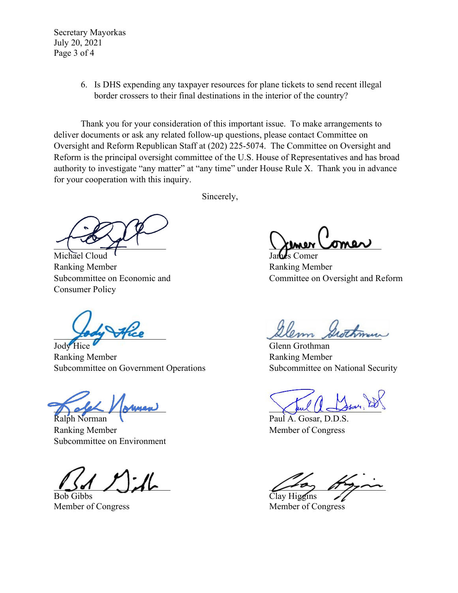Secretary Mayorkas July 20, 2021 Page 3 of 4

> 6. Is DHS expending any taxpayer resources for plane tickets to send recent illegal border crossers to their final destinations in the interior of the country?

Thank you for your consideration of this important issue. To make arrangements to deliver documents or ask any related follow-up questions, please contact Committee on Oversight and Reform Republican Staff at (202) 225-5074. The Committee on Oversight and Reform is the principal oversight committee of the U.S. House of Representatives and has broad authority to investigate "any matter" at "any time" under House Rule X. Thank you in advance for your cooperation with this inquiry.

Sincerely,

 $\frac{1}{2}$  sensor comer

Michael Cloud <sup>I</sup> James Comer Ranking Member **Ranking Member** Ranking Member Consumer Policy

Jody Hice Glenn Grothman Ranking Member **Ranking Member** Ranking Member Subcommittee on Government Operations Subcommittee on National Security

Ralph Norman **Cause A. A. Gosar, D.D.S.** Paul A. Gosar, D.D.S. Ranking Member Member Member of Congress Subcommittee on Environment

Bob Gibbs Clay Higgins

Subcommittee on Economic and Committee on Oversight and Reform

fory trice

 $\bigwedge$  and  $\bigvee$  sumer  $\bigvee$  and  $\bigcup$   $\bigtriangleup$ sar, 120

 $\sqrt{2}a$ ,  $\sqrt{b}$ 

Member of Congress Member of Congress